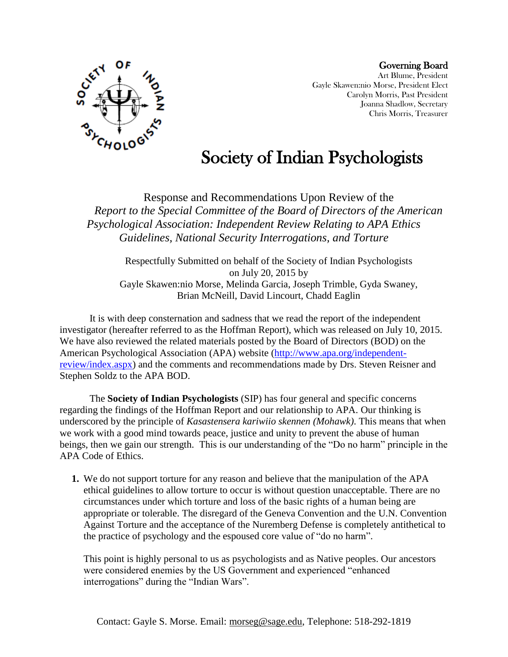

Governing Board Art Blume, President Gayle Skawen:nio Morse, President Elect Carolyn Morris, Past President Joanna Shadlow, Secretary Chris Morris, Treasurer

## Society of Indian Psychologists

Response and Recommendations Upon Review of the *Report to the Special Committee of the Board of Directors of the American Psychological Association: Independent Review Relating to APA Ethics Guidelines, National Security Interrogations, and Torture*

Respectfully Submitted on behalf of the Society of Indian Psychologists on July 20, 2015 by Gayle Skawen:nio Morse, Melinda Garcia, Joseph Trimble, Gyda Swaney, Brian McNeill, David Lincourt, Chadd Eaglin

It is with deep consternation and sadness that we read the report of the independent investigator (hereafter referred to as the Hoffman Report), which was released on July 10, 2015. We have also reviewed the related materials posted by the Board of Directors (BOD) on the American Psychological Association (APA) website [\(http://www.apa.org/independent](http://www.apa.org/independent-review/index.aspx)[review/index.aspx\)](http://www.apa.org/independent-review/index.aspx) and the comments and recommendations made by Drs. Steven Reisner and Stephen Soldz to the APA BOD.

The **Society of Indian Psychologists** (SIP) has four general and specific concerns regarding the findings of the Hoffman Report and our relationship to APA. Our thinking is underscored by the principle of *Kasastensera kariwiio skennen (Mohawk)*. This means that when we work with a good mind towards peace, justice and unity to prevent the abuse of human beings, then we gain our strength. This is our understanding of the "Do no harm" principle in the APA Code of Ethics.

**1.** We do not support torture for any reason and believe that the manipulation of the APA ethical guidelines to allow torture to occur is without question unacceptable. There are no circumstances under which torture and loss of the basic rights of a human being are appropriate or tolerable. The disregard of the Geneva Convention and the U.N. Convention Against Torture and the acceptance of the Nuremberg Defense is completely antithetical to the practice of psychology and the espoused core value of "do no harm".

This point is highly personal to us as psychologists and as Native peoples. Our ancestors were considered enemies by the US Government and experienced "enhanced interrogations" during the "Indian Wars".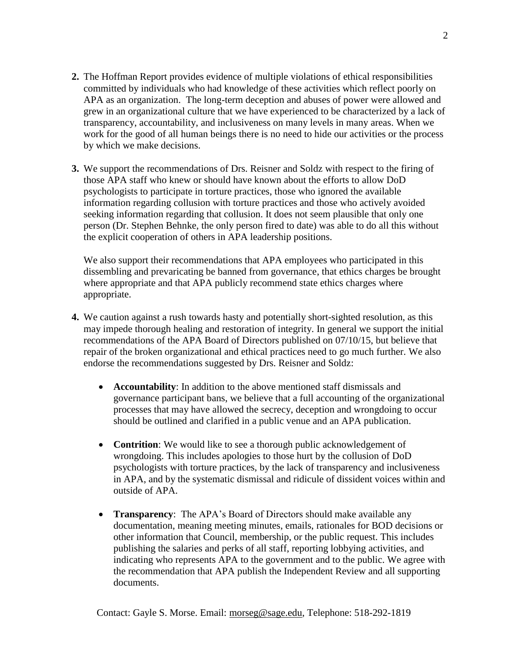- **2.** The Hoffman Report provides evidence of multiple violations of ethical responsibilities committed by individuals who had knowledge of these activities which reflect poorly on APA as an organization. The long-term deception and abuses of power were allowed and grew in an organizational culture that we have experienced to be characterized by a lack of transparency, accountability, and inclusiveness on many levels in many areas. When we work for the good of all human beings there is no need to hide our activities or the process by which we make decisions.
- **3.** We support the recommendations of Drs. Reisner and Soldz with respect to the firing of those APA staff who knew or should have known about the efforts to allow DoD psychologists to participate in torture practices, those who ignored the available information regarding collusion with torture practices and those who actively avoided seeking information regarding that collusion. It does not seem plausible that only one person (Dr. Stephen Behnke, the only person fired to date) was able to do all this without the explicit cooperation of others in APA leadership positions.

We also support their recommendations that APA employees who participated in this dissembling and prevaricating be banned from governance, that ethics charges be brought where appropriate and that APA publicly recommend state ethics charges where appropriate.

- **4.** We caution against a rush towards hasty and potentially short-sighted resolution, as this may impede thorough healing and restoration of integrity. In general we support the initial recommendations of the APA Board of Directors published on 07/10/15, but believe that repair of the broken organizational and ethical practices need to go much further. We also endorse the recommendations suggested by Drs. Reisner and Soldz:
	- **Accountability**: In addition to the above mentioned staff dismissals and governance participant bans, we believe that a full accounting of the organizational processes that may have allowed the secrecy, deception and wrongdoing to occur should be outlined and clarified in a public venue and an APA publication.
	- **Contrition**: We would like to see a thorough public acknowledgement of wrongdoing. This includes apologies to those hurt by the collusion of DoD psychologists with torture practices, by the lack of transparency and inclusiveness in APA, and by the systematic dismissal and ridicule of dissident voices within and outside of APA.
	- **Transparency**: The APA's Board of Directors should make available any documentation, meaning meeting minutes, emails, rationales for BOD decisions or other information that Council, membership, or the public request. This includes publishing the salaries and perks of all staff, reporting lobbying activities, and indicating who represents APA to the government and to the public. We agree with the recommendation that APA publish the Independent Review and all supporting documents.